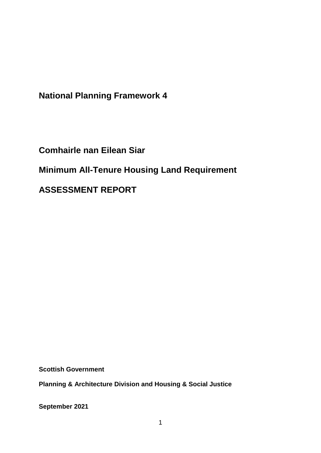**National Planning Framework 4**

**Comhairle nan Eilean Siar Minimum All-Tenure Housing Land Requirement ASSESSMENT REPORT**

**Scottish Government**

**Planning & Architecture Division and Housing & Social Justice** 

**September 2021**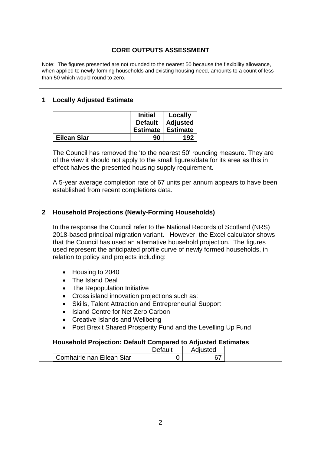# **CORE OUTPUTS ASSESSMENT**

Note: The figures presented are not rounded to the nearest 50 because the flexibility allowance, when applied to newly-forming households and existing housing need, amounts to a count of less than 50 which would round to zero.

# **1 Locally Adjusted Estimate**

|                    | <b>Initial</b> | Locally             |
|--------------------|----------------|---------------------|
|                    |                | Default   Adjusted  |
|                    |                | Estimate   Estimate |
| <b>Eilean Siar</b> | 90             | 192                 |

The Council has removed the 'to the nearest 50' rounding measure. They are of the view it should not apply to the small figures/data for its area as this in effect halves the presented housing supply requirement.

A 5-year average completion rate of 67 units per annum appears to have been established from recent completions data.

### **2 Household Projections (Newly-Forming Households)**

In the response the Council refer to the National Records of Scotland (NRS) 2018-based principal migration variant. However, the Excel calculator shows that the Council has used an alternative household projection. The figures used represent the anticipated profile curve of newly formed households, in relation to policy and projects including:

- Housing to 2040
- The Island Deal
- The Repopulation Initiative
- Cross island innovation projections such as:
- Skills, Talent Attraction and Entrepreneurial Support
- Island Centre for Net Zero Carbon
- Creative Islands and Wellbeing
- Post Brexit Shared Prosperity Fund and the Levelling Up Fund

#### **Household Projection: Default Compared to Adjusted Estimates**

|                           | Jetault | Adiusted |
|---------------------------|---------|----------|
| Comhairle nan Eilean Siar |         |          |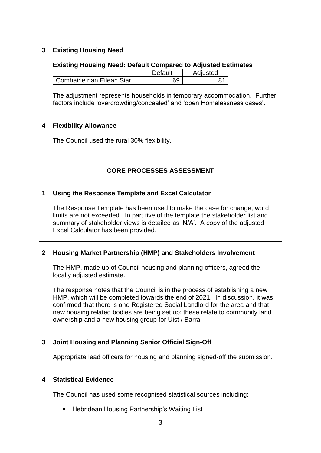# **3 Existing Housing Need**

# **Existing Housing Need: Default Compared to Adjusted Estimates**

|                           | Default | Adjusted |
|---------------------------|---------|----------|
| Comhairle nan Eilean Siar | 69      |          |

The adjustment represents households in temporary accommodation. Further factors include 'overcrowding/concealed' and 'open Homelessness cases'.

### **4 Flexibility Allowance**

The Council used the rural 30% flexibility.

|                | <b>CORE PROCESSES ASSESSMENT</b>                                                                                                                                                                                                                                                                                                                                                 |
|----------------|----------------------------------------------------------------------------------------------------------------------------------------------------------------------------------------------------------------------------------------------------------------------------------------------------------------------------------------------------------------------------------|
| 1              | Using the Response Template and Excel Calculator                                                                                                                                                                                                                                                                                                                                 |
|                | The Response Template has been used to make the case for change, word<br>limits are not exceeded. In part five of the template the stakeholder list and<br>summary of stakeholder views is detailed as 'N/A'. A copy of the adjusted<br>Excel Calculator has been provided.                                                                                                      |
| $\overline{2}$ | Housing Market Partnership (HMP) and Stakeholders Involvement                                                                                                                                                                                                                                                                                                                    |
|                | The HMP, made up of Council housing and planning officers, agreed the<br>locally adjusted estimate.                                                                                                                                                                                                                                                                              |
|                | The response notes that the Council is in the process of establishing a new<br>HMP, which will be completed towards the end of 2021. In discussion, it was<br>confirmed that there is one Registered Social Landlord for the area and that<br>new housing related bodies are being set up: these relate to community land<br>ownership and a new housing group for Uist / Barra. |
| 3              | Joint Housing and Planning Senior Official Sign-Off                                                                                                                                                                                                                                                                                                                              |
|                | Appropriate lead officers for housing and planning signed-off the submission.                                                                                                                                                                                                                                                                                                    |
| 4              | <b>Statistical Evidence</b>                                                                                                                                                                                                                                                                                                                                                      |
|                | The Council has used some recognised statistical sources including:                                                                                                                                                                                                                                                                                                              |
|                | Hebridean Housing Partnership's Waiting List                                                                                                                                                                                                                                                                                                                                     |